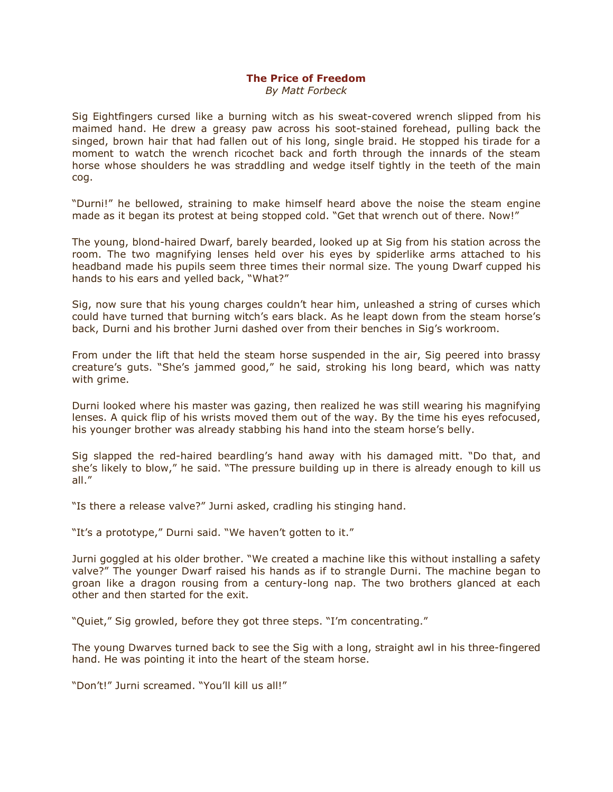## The Price of Freedom By Matt Forbeck

Sig Eightfingers cursed like a burning witch as his sweat-covered wrench slipped from his maimed hand. He drew a greasy paw across his soot-stained forehead, pulling back the singed, brown hair that had fallen out of his long, single braid. He stopped his tirade for a moment to watch the wrench ricochet back and forth through the innards of the steam horse whose shoulders he was straddling and wedge itself tightly in the teeth of the main cog.

"Durni!" he bellowed, straining to make himself heard above the noise the steam engine made as it began its protest at being stopped cold. "Get that wrench out of there. Now!"

The young, blond-haired Dwarf, barely bearded, looked up at Sig from his station across the room. The two magnifying lenses held over his eyes by spiderlike arms attached to his headband made his pupils seem three times their normal size. The young Dwarf cupped his hands to his ears and yelled back, "What?"

Sig, now sure that his young charges couldn't hear him, unleashed a string of curses which could have turned that burning witch's ears black. As he leapt down from the steam horse's back, Durni and his brother Jurni dashed over from their benches in Sig's workroom.

From under the lift that held the steam horse suspended in the air, Sig peered into brassy creature's guts. "She's jammed good," he said, stroking his long beard, which was natty with grime.

Durni looked where his master was gazing, then realized he was still wearing his magnifying lenses. A quick flip of his wrists moved them out of the way. By the time his eyes refocused, his younger brother was already stabbing his hand into the steam horse's belly.

Sig slapped the red-haired beardling's hand away with his damaged mitt. "Do that, and she's likely to blow," he said. "The pressure building up in there is already enough to kill us all."

"Is there a release valve?" Jurni asked, cradling his stinging hand.

"It's a prototype," Durni said. "We haven't gotten to it."

Jurni goggled at his older brother. "We created a machine like this without installing a safety valve?" The younger Dwarf raised his hands as if to strangle Durni. The machine began to groan like a dragon rousing from a century-long nap. The two brothers glanced at each other and then started for the exit.

"Quiet," Sig growled, before they got three steps. "I'm concentrating."

The young Dwarves turned back to see the Sig with a long, straight awl in his three-fingered hand. He was pointing it into the heart of the steam horse.

"Don't!" Jurni screamed. "You'll kill us all!"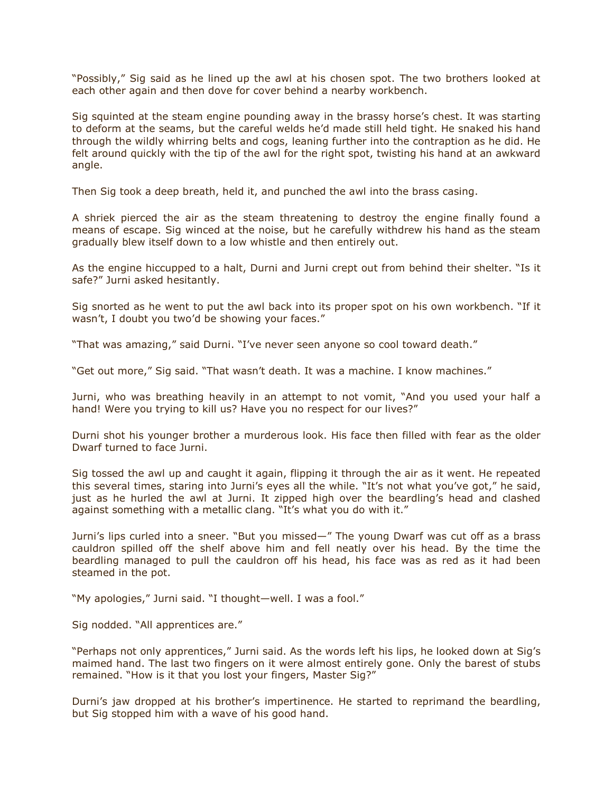"Possibly," Sig said as he lined up the awl at his chosen spot. The two brothers looked at each other again and then dove for cover behind a nearby workbench.

Sig squinted at the steam engine pounding away in the brassy horse's chest. It was starting to deform at the seams, but the careful welds he'd made still held tight. He snaked his hand through the wildly whirring belts and cogs, leaning further into the contraption as he did. He felt around quickly with the tip of the awl for the right spot, twisting his hand at an awkward angle.

Then Sig took a deep breath, held it, and punched the awl into the brass casing.

A shriek pierced the air as the steam threatening to destroy the engine finally found a means of escape. Sig winced at the noise, but he carefully withdrew his hand as the steam gradually blew itself down to a low whistle and then entirely out.

As the engine hiccupped to a halt, Durni and Jurni crept out from behind their shelter. "Is it safe?" Jurni asked hesitantly.

Sig snorted as he went to put the awl back into its proper spot on his own workbench. "If it wasn't, I doubt you two'd be showing your faces."

"That was amazing," said Durni. "I've never seen anyone so cool toward death."

"Get out more," Sig said. "That wasn't death. It was a machine. I know machines."

Jurni, who was breathing heavily in an attempt to not vomit, "And you used your half a hand! Were you trying to kill us? Have you no respect for our lives?"

Durni shot his younger brother a murderous look. His face then filled with fear as the older Dwarf turned to face Jurni.

Sig tossed the awl up and caught it again, flipping it through the air as it went. He repeated this several times, staring into Jurni's eyes all the while. "It's not what you've got," he said, just as he hurled the awl at Jurni. It zipped high over the beardling's head and clashed against something with a metallic clang. "It's what you do with it."

Jurni's lips curled into a sneer. "But you missed—" The young Dwarf was cut off as a brass cauldron spilled off the shelf above him and fell neatly over his head. By the time the beardling managed to pull the cauldron off his head, his face was as red as it had been steamed in the pot.

"My apologies," Jurni said. "I thought—well. I was a fool."

Sig nodded. "All apprentices are."

"Perhaps not only apprentices," Jurni said. As the words left his lips, he looked down at Sig's maimed hand. The last two fingers on it were almost entirely gone. Only the barest of stubs remained. "How is it that you lost your fingers, Master Sig?"

Durni's jaw dropped at his brother's impertinence. He started to reprimand the beardling, but Sig stopped him with a wave of his good hand.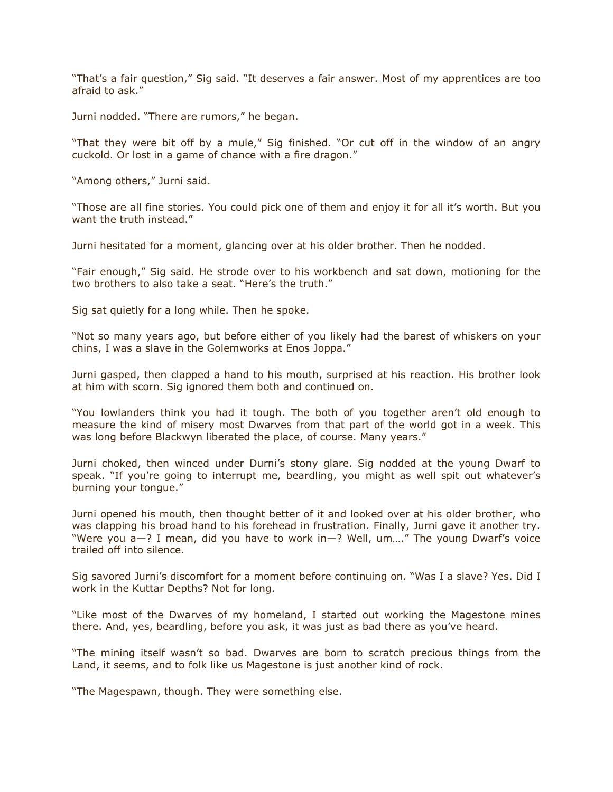"That's a fair question," Sig said. "It deserves a fair answer. Most of my apprentices are too afraid to ask."

Jurni nodded. "There are rumors," he began.

"That they were bit off by a mule," Sig finished. "Or cut off in the window of an angry cuckold. Or lost in a game of chance with a fire dragon."

"Among others," Jurni said.

"Those are all fine stories. You could pick one of them and enjoy it for all it's worth. But you want the truth instead."

Jurni hesitated for a moment, glancing over at his older brother. Then he nodded.

"Fair enough," Sig said. He strode over to his workbench and sat down, motioning for the two brothers to also take a seat. "Here's the truth."

Sig sat quietly for a long while. Then he spoke.

"Not so many years ago, but before either of you likely had the barest of whiskers on your chins, I was a slave in the Golemworks at Enos Joppa."

Jurni gasped, then clapped a hand to his mouth, surprised at his reaction. His brother look at him with scorn. Sig ignored them both and continued on.

"You lowlanders think you had it tough. The both of you together aren't old enough to measure the kind of misery most Dwarves from that part of the world got in a week. This was long before Blackwyn liberated the place, of course. Many years."

Jurni choked, then winced under Durni's stony glare. Sig nodded at the young Dwarf to speak. "If you're going to interrupt me, beardling, you might as well spit out whatever's burning your tongue."

Jurni opened his mouth, then thought better of it and looked over at his older brother, who was clapping his broad hand to his forehead in frustration. Finally, Jurni gave it another try. "Were you a—? I mean, did you have to work in—? Well, um…." The young Dwarf's voice trailed off into silence.

Sig savored Jurni's discomfort for a moment before continuing on. "Was I a slave? Yes. Did I work in the Kuttar Depths? Not for long.

"Like most of the Dwarves of my homeland, I started out working the Magestone mines there. And, yes, beardling, before you ask, it was just as bad there as you've heard.

"The mining itself wasn't so bad. Dwarves are born to scratch precious things from the Land, it seems, and to folk like us Magestone is just another kind of rock.

"The Magespawn, though. They were something else.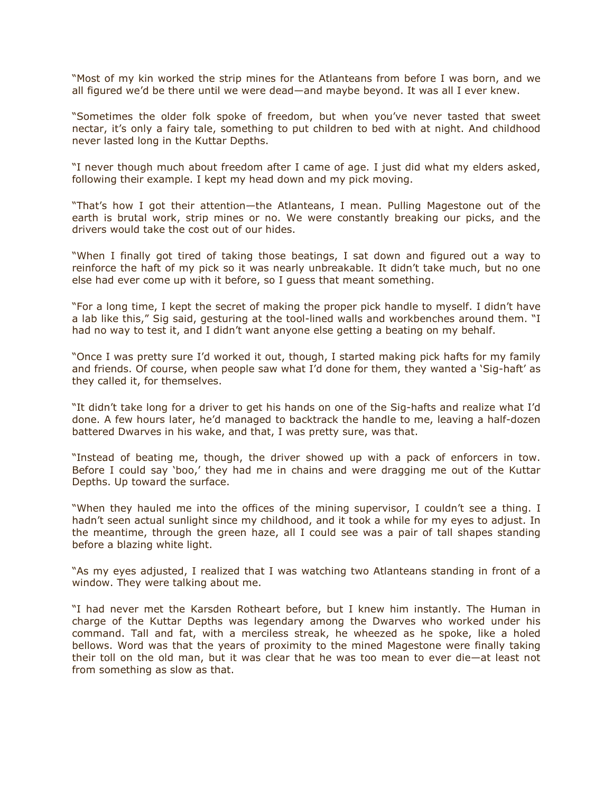"Most of my kin worked the strip mines for the Atlanteans from before I was born, and we all figured we'd be there until we were dead—and maybe beyond. It was all I ever knew.

"Sometimes the older folk spoke of freedom, but when you've never tasted that sweet nectar, it's only a fairy tale, something to put children to bed with at night. And childhood never lasted long in the Kuttar Depths.

"I never though much about freedom after I came of age. I just did what my elders asked, following their example. I kept my head down and my pick moving.

"That's how I got their attention—the Atlanteans, I mean. Pulling Magestone out of the earth is brutal work, strip mines or no. We were constantly breaking our picks, and the drivers would take the cost out of our hides.

"When I finally got tired of taking those beatings, I sat down and figured out a way to reinforce the haft of my pick so it was nearly unbreakable. It didn't take much, but no one else had ever come up with it before, so I guess that meant something.

"For a long time, I kept the secret of making the proper pick handle to myself. I didn't have a lab like this," Sig said, gesturing at the tool-lined walls and workbenches around them. "I had no way to test it, and I didn't want anyone else getting a beating on my behalf.

"Once I was pretty sure I'd worked it out, though, I started making pick hafts for my family and friends. Of course, when people saw what I'd done for them, they wanted a 'Sig-haft' as they called it, for themselves.

"It didn't take long for a driver to get his hands on one of the Sig-hafts and realize what I'd done. A few hours later, he'd managed to backtrack the handle to me, leaving a half-dozen battered Dwarves in his wake, and that, I was pretty sure, was that.

"Instead of beating me, though, the driver showed up with a pack of enforcers in tow. Before I could say 'boo,' they had me in chains and were dragging me out of the Kuttar Depths. Up toward the surface.

"When they hauled me into the offices of the mining supervisor, I couldn't see a thing. I hadn't seen actual sunlight since my childhood, and it took a while for my eyes to adjust. In the meantime, through the green haze, all I could see was a pair of tall shapes standing before a blazing white light.

"As my eyes adjusted, I realized that I was watching two Atlanteans standing in front of a window. They were talking about me.

"I had never met the Karsden Rotheart before, but I knew him instantly. The Human in charge of the Kuttar Depths was legendary among the Dwarves who worked under his command. Tall and fat, with a merciless streak, he wheezed as he spoke, like a holed bellows. Word was that the years of proximity to the mined Magestone were finally taking their toll on the old man, but it was clear that he was too mean to ever die—at least not from something as slow as that.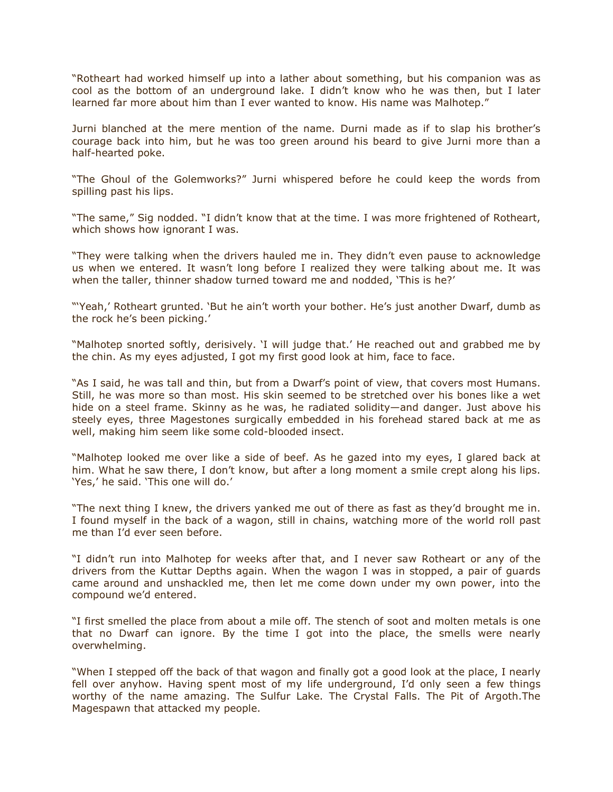"Rotheart had worked himself up into a lather about something, but his companion was as cool as the bottom of an underground lake. I didn't know who he was then, but I later learned far more about him than I ever wanted to know. His name was Malhotep."

Jurni blanched at the mere mention of the name. Durni made as if to slap his brother's courage back into him, but he was too green around his beard to give Jurni more than a half-hearted poke.

"The Ghoul of the Golemworks?" Jurni whispered before he could keep the words from spilling past his lips.

"The same," Sig nodded. "I didn't know that at the time. I was more frightened of Rotheart, which shows how ignorant I was.

"They were talking when the drivers hauled me in. They didn't even pause to acknowledge us when we entered. It wasn't long before I realized they were talking about me. It was when the taller, thinner shadow turned toward me and nodded, 'This is he?'

"'Yeah,' Rotheart grunted. 'But he ain't worth your bother. He's just another Dwarf, dumb as the rock he's been picking.'

"Malhotep snorted softly, derisively. 'I will judge that.' He reached out and grabbed me by the chin. As my eyes adjusted, I got my first good look at him, face to face.

"As I said, he was tall and thin, but from a Dwarf's point of view, that covers most Humans. Still, he was more so than most. His skin seemed to be stretched over his bones like a wet hide on a steel frame. Skinny as he was, he radiated solidity—and danger. Just above his steely eyes, three Magestones surgically embedded in his forehead stared back at me as well, making him seem like some cold-blooded insect.

"Malhotep looked me over like a side of beef. As he gazed into my eyes, I glared back at him. What he saw there, I don't know, but after a long moment a smile crept along his lips. 'Yes,' he said. 'This one will do.'

"The next thing I knew, the drivers yanked me out of there as fast as they'd brought me in. I found myself in the back of a wagon, still in chains, watching more of the world roll past me than I'd ever seen before.

"I didn't run into Malhotep for weeks after that, and I never saw Rotheart or any of the drivers from the Kuttar Depths again. When the wagon I was in stopped, a pair of guards came around and unshackled me, then let me come down under my own power, into the compound we'd entered.

"I first smelled the place from about a mile off. The stench of soot and molten metals is one that no Dwarf can ignore. By the time I got into the place, the smells were nearly overwhelming.

"When I stepped off the back of that wagon and finally got a good look at the place, I nearly fell over anyhow. Having spent most of my life underground, I'd only seen a few things worthy of the name amazing. The Sulfur Lake. The Crystal Falls. The Pit of Argoth.The Magespawn that attacked my people.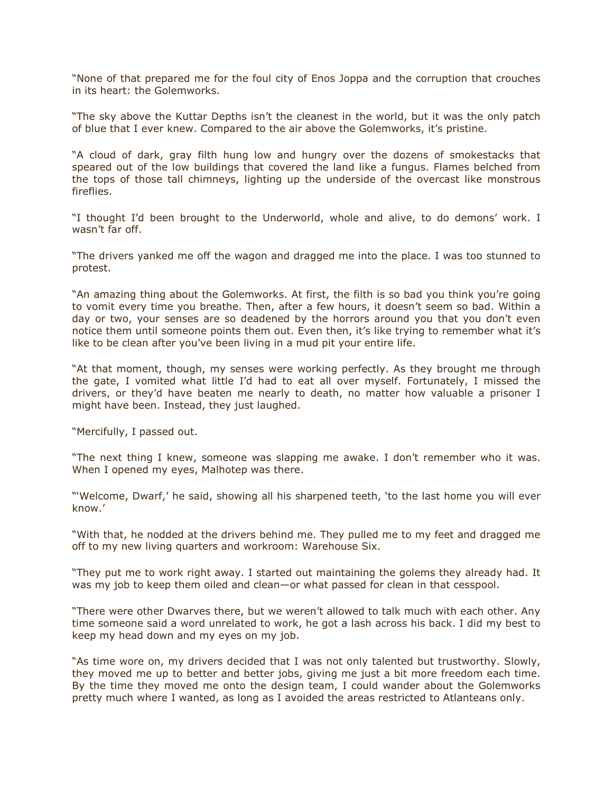"None of that prepared me for the foul city of Enos Joppa and the corruption that crouches in its heart: the Golemworks.

"The sky above the Kuttar Depths isn't the cleanest in the world, but it was the only patch of blue that I ever knew. Compared to the air above the Golemworks, it's pristine.

"A cloud of dark, gray filth hung low and hungry over the dozens of smokestacks that speared out of the low buildings that covered the land like a fungus. Flames belched from the tops of those tall chimneys, lighting up the underside of the overcast like monstrous fireflies.

"I thought I'd been brought to the Underworld, whole and alive, to do demons' work. I wasn't far off.

"The drivers yanked me off the wagon and dragged me into the place. I was too stunned to protest.

"An amazing thing about the Golemworks. At first, the filth is so bad you think you're going to vomit every time you breathe. Then, after a few hours, it doesn't seem so bad. Within a day or two, your senses are so deadened by the horrors around you that you don't even notice them until someone points them out. Even then, it's like trying to remember what it's like to be clean after you've been living in a mud pit your entire life.

"At that moment, though, my senses were working perfectly. As they brought me through the gate, I vomited what little I'd had to eat all over myself. Fortunately, I missed the drivers, or they'd have beaten me nearly to death, no matter how valuable a prisoner I might have been. Instead, they just laughed.

"Mercifully, I passed out.

"The next thing I knew, someone was slapping me awake. I don't remember who it was. When I opened my eyes, Malhotep was there.

"'Welcome, Dwarf,' he said, showing all his sharpened teeth, 'to the last home you will ever know.'

"With that, he nodded at the drivers behind me. They pulled me to my feet and dragged me off to my new living quarters and workroom: Warehouse Six.

"They put me to work right away. I started out maintaining the golems they already had. It was my job to keep them oiled and clean—or what passed for clean in that cesspool.

"There were other Dwarves there, but we weren't allowed to talk much with each other. Any time someone said a word unrelated to work, he got a lash across his back. I did my best to keep my head down and my eyes on my job.

"As time wore on, my drivers decided that I was not only talented but trustworthy. Slowly, they moved me up to better and better jobs, giving me just a bit more freedom each time. By the time they moved me onto the design team, I could wander about the Golemworks pretty much where I wanted, as long as I avoided the areas restricted to Atlanteans only.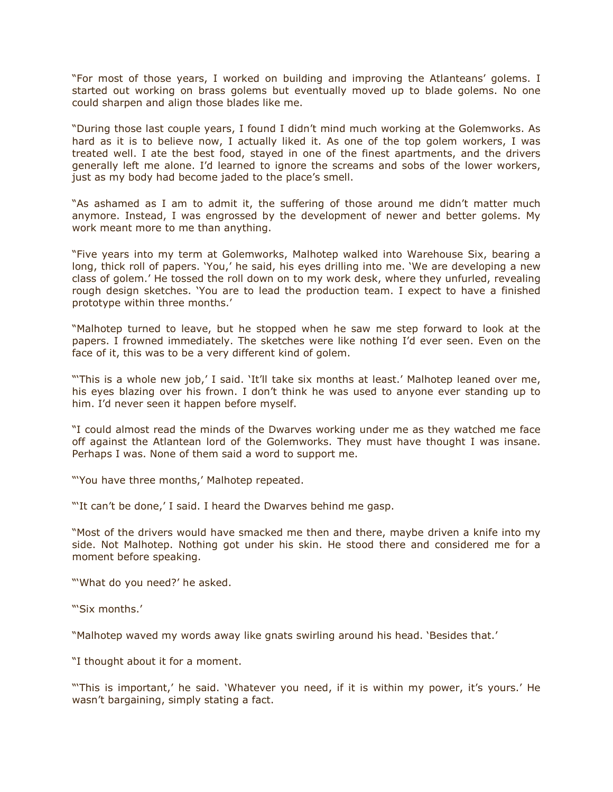"For most of those years, I worked on building and improving the Atlanteans' golems. I started out working on brass golems but eventually moved up to blade golems. No one could sharpen and align those blades like me.

"During those last couple years, I found I didn't mind much working at the Golemworks. As hard as it is to believe now, I actually liked it. As one of the top golem workers, I was treated well. I ate the best food, stayed in one of the finest apartments, and the drivers generally left me alone. I'd learned to ignore the screams and sobs of the lower workers, just as my body had become jaded to the place's smell.

"As ashamed as I am to admit it, the suffering of those around me didn't matter much anymore. Instead, I was engrossed by the development of newer and better golems. My work meant more to me than anything.

"Five years into my term at Golemworks, Malhotep walked into Warehouse Six, bearing a long, thick roll of papers. 'You,' he said, his eyes drilling into me. 'We are developing a new class of golem.' He tossed the roll down on to my work desk, where they unfurled, revealing rough design sketches. 'You are to lead the production team. I expect to have a finished prototype within three months.'

"Malhotep turned to leave, but he stopped when he saw me step forward to look at the papers. I frowned immediately. The sketches were like nothing I'd ever seen. Even on the face of it, this was to be a very different kind of golem.

"'This is a whole new job,' I said. 'It'll take six months at least.' Malhotep leaned over me, his eyes blazing over his frown. I don't think he was used to anyone ever standing up to him. I'd never seen it happen before myself.

"I could almost read the minds of the Dwarves working under me as they watched me face off against the Atlantean lord of the Golemworks. They must have thought I was insane. Perhaps I was. None of them said a word to support me.

"'You have three months,' Malhotep repeated.

"'It can't be done,' I said. I heard the Dwarves behind me gasp.

"Most of the drivers would have smacked me then and there, maybe driven a knife into my side. Not Malhotep. Nothing got under his skin. He stood there and considered me for a moment before speaking.

"'What do you need?' he asked.

"'Six months.'

"Malhotep waved my words away like gnats swirling around his head. 'Besides that.'

"I thought about it for a moment.

"'This is important,' he said. 'Whatever you need, if it is within my power, it's yours.' He wasn't bargaining, simply stating a fact.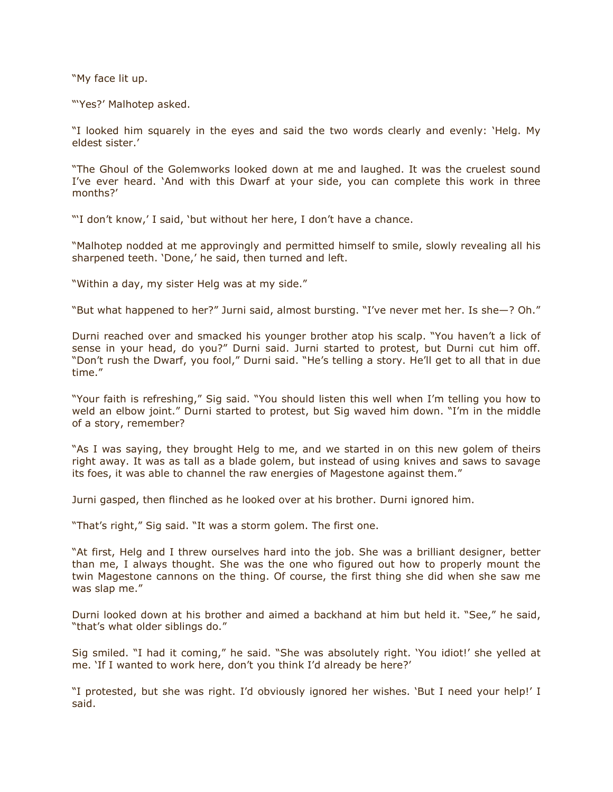"My face lit up.

"'Yes?' Malhotep asked.

"I looked him squarely in the eyes and said the two words clearly and evenly: 'Helg. My eldest sister.'

"The Ghoul of the Golemworks looked down at me and laughed. It was the cruelest sound I've ever heard. 'And with this Dwarf at your side, you can complete this work in three months?'

"'I don't know,' I said, 'but without her here, I don't have a chance.

"Malhotep nodded at me approvingly and permitted himself to smile, slowly revealing all his sharpened teeth. 'Done,' he said, then turned and left.

"Within a day, my sister Helg was at my side."

"But what happened to her?" Jurni said, almost bursting. "I've never met her. Is she—? Oh."

Durni reached over and smacked his younger brother atop his scalp. "You haven't a lick of sense in your head, do you?" Durni said. Jurni started to protest, but Durni cut him off. "Don't rush the Dwarf, you fool," Durni said. "He's telling a story. He'll get to all that in due time."

"Your faith is refreshing," Sig said. "You should listen this well when I'm telling you how to weld an elbow joint." Durni started to protest, but Sig waved him down. "I'm in the middle of a story, remember?

"As I was saying, they brought Helg to me, and we started in on this new golem of theirs right away. It was as tall as a blade golem, but instead of using knives and saws to savage its foes, it was able to channel the raw energies of Magestone against them."

Jurni gasped, then flinched as he looked over at his brother. Durni ignored him.

"That's right," Sig said. "It was a storm golem. The first one.

"At first, Helg and I threw ourselves hard into the job. She was a brilliant designer, better than me, I always thought. She was the one who figured out how to properly mount the twin Magestone cannons on the thing. Of course, the first thing she did when she saw me was slap me."

Durni looked down at his brother and aimed a backhand at him but held it. "See," he said, "that's what older siblings do."

Sig smiled. "I had it coming," he said. "She was absolutely right. 'You idiot!' she yelled at me. 'If I wanted to work here, don't you think I'd already be here?'

"I protested, but she was right. I'd obviously ignored her wishes. 'But I need your help!' I said.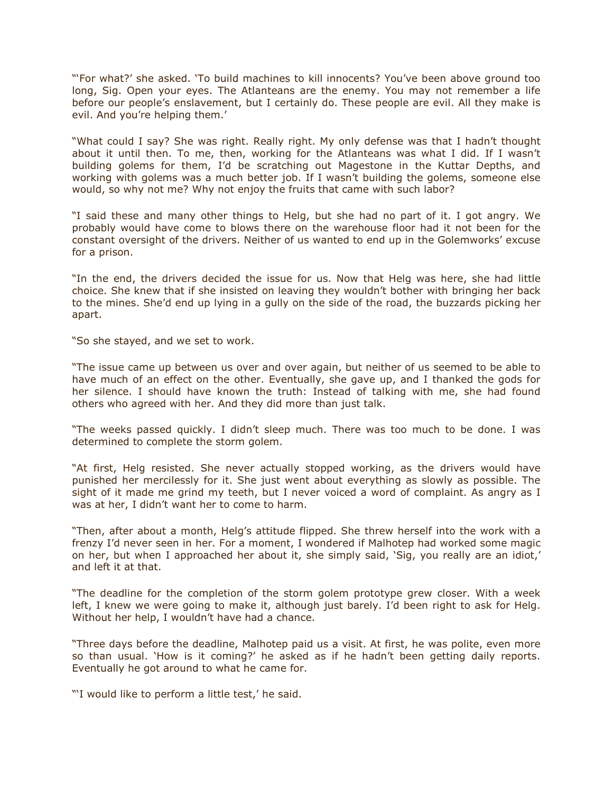"'For what?' she asked. 'To build machines to kill innocents? You've been above ground too long, Sig. Open your eyes. The Atlanteans are the enemy. You may not remember a life before our people's enslavement, but I certainly do. These people are evil. All they make is evil. And you're helping them.'

"What could I say? She was right. Really right. My only defense was that I hadn't thought about it until then. To me, then, working for the Atlanteans was what I did. If I wasn't building golems for them, I'd be scratching out Magestone in the Kuttar Depths, and working with golems was a much better job. If I wasn't building the golems, someone else would, so why not me? Why not enjoy the fruits that came with such labor?

"I said these and many other things to Helg, but she had no part of it. I got angry. We probably would have come to blows there on the warehouse floor had it not been for the constant oversight of the drivers. Neither of us wanted to end up in the Golemworks' excuse for a prison.

"In the end, the drivers decided the issue for us. Now that Helg was here, she had little choice. She knew that if she insisted on leaving they wouldn't bother with bringing her back to the mines. She'd end up lying in a gully on the side of the road, the buzzards picking her apart.

"So she stayed, and we set to work.

"The issue came up between us over and over again, but neither of us seemed to be able to have much of an effect on the other. Eventually, she gave up, and I thanked the gods for her silence. I should have known the truth: Instead of talking with me, she had found others who agreed with her. And they did more than just talk.

"The weeks passed quickly. I didn't sleep much. There was too much to be done. I was determined to complete the storm golem.

"At first, Helg resisted. She never actually stopped working, as the drivers would have punished her mercilessly for it. She just went about everything as slowly as possible. The sight of it made me grind my teeth, but I never voiced a word of complaint. As angry as I was at her, I didn't want her to come to harm.

"Then, after about a month, Helg's attitude flipped. She threw herself into the work with a frenzy I'd never seen in her. For a moment, I wondered if Malhotep had worked some magic on her, but when I approached her about it, she simply said, 'Sig, you really are an idiot,' and left it at that.

"The deadline for the completion of the storm golem prototype grew closer. With a week left, I knew we were going to make it, although just barely. I'd been right to ask for Helg. Without her help, I wouldn't have had a chance.

"Three days before the deadline, Malhotep paid us a visit. At first, he was polite, even more so than usual. 'How is it coming?' he asked as if he hadn't been getting daily reports. Eventually he got around to what he came for.

"'I would like to perform a little test,' he said.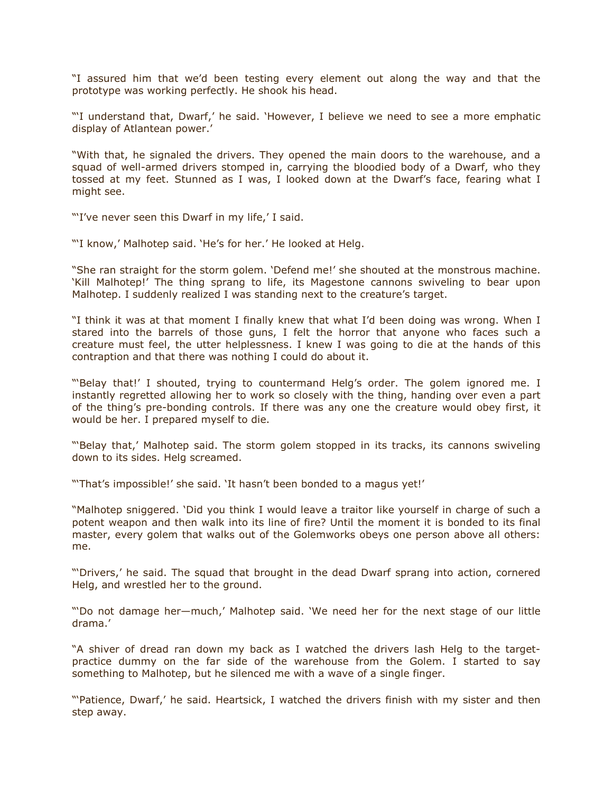"I assured him that we'd been testing every element out along the way and that the prototype was working perfectly. He shook his head.

"'I understand that, Dwarf,' he said. 'However, I believe we need to see a more emphatic display of Atlantean power.'

"With that, he signaled the drivers. They opened the main doors to the warehouse, and a squad of well-armed drivers stomped in, carrying the bloodied body of a Dwarf, who they tossed at my feet. Stunned as I was, I looked down at the Dwarf's face, fearing what I might see.

"'I've never seen this Dwarf in my life,' I said.

"'I know,' Malhotep said. 'He's for her.' He looked at Helg.

"She ran straight for the storm golem. 'Defend me!' she shouted at the monstrous machine. 'Kill Malhotep!' The thing sprang to life, its Magestone cannons swiveling to bear upon Malhotep. I suddenly realized I was standing next to the creature's target.

"I think it was at that moment I finally knew that what I'd been doing was wrong. When I stared into the barrels of those guns, I felt the horror that anyone who faces such a creature must feel, the utter helplessness. I knew I was going to die at the hands of this contraption and that there was nothing I could do about it.

"'Belay that!' I shouted, trying to countermand Helg's order. The golem ignored me. I instantly regretted allowing her to work so closely with the thing, handing over even a part of the thing's pre-bonding controls. If there was any one the creature would obey first, it would be her. I prepared myself to die.

"'Belay that,' Malhotep said. The storm golem stopped in its tracks, its cannons swiveling down to its sides. Helg screamed.

"'That's impossible!' she said. 'It hasn't been bonded to a magus yet!'

"Malhotep sniggered. 'Did you think I would leave a traitor like yourself in charge of such a potent weapon and then walk into its line of fire? Until the moment it is bonded to its final master, every golem that walks out of the Golemworks obeys one person above all others: me.

"'Drivers,' he said. The squad that brought in the dead Dwarf sprang into action, cornered Helg, and wrestled her to the ground.

"'Do not damage her—much,' Malhotep said. 'We need her for the next stage of our little drama.'

"A shiver of dread ran down my back as I watched the drivers lash Helg to the targetpractice dummy on the far side of the warehouse from the Golem. I started to say something to Malhotep, but he silenced me with a wave of a single finger.

"'Patience, Dwarf,' he said. Heartsick, I watched the drivers finish with my sister and then step away.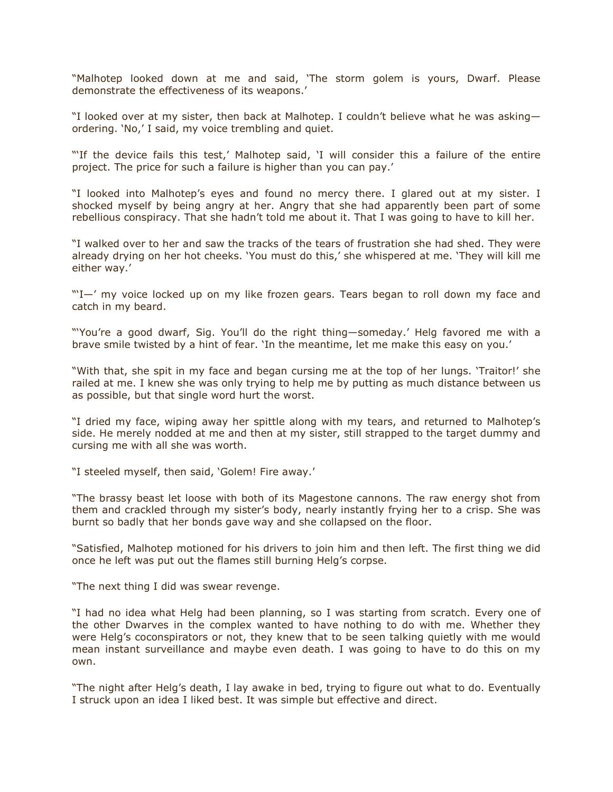"Malhotep looked down at me and said, 'The storm golem is yours, Dwarf. Please demonstrate the effectiveness of its weapons.'

"I looked over at my sister, then back at Malhotep. I couldn't believe what he was asking ordering. 'No,' I said, my voice trembling and quiet.

"'If the device fails this test,' Malhotep said, 'I will consider this a failure of the entire project. The price for such a failure is higher than you can pay.'

"I looked into Malhotep's eyes and found no mercy there. I glared out at my sister. I shocked myself by being angry at her. Angry that she had apparently been part of some rebellious conspiracy. That she hadn't told me about it. That I was going to have to kill her.

"I walked over to her and saw the tracks of the tears of frustration she had shed. They were already drying on her hot cheeks. 'You must do this,' she whispered at me. 'They will kill me either way.'

"'I—' my voice locked up on my like frozen gears. Tears began to roll down my face and catch in my beard.

"'You're a good dwarf, Sig. You'll do the right thing—someday.' Helg favored me with a brave smile twisted by a hint of fear. 'In the meantime, let me make this easy on you.'

"With that, she spit in my face and began cursing me at the top of her lungs. 'Traitor!' she railed at me. I knew she was only trying to help me by putting as much distance between us as possible, but that single word hurt the worst.

"I dried my face, wiping away her spittle along with my tears, and returned to Malhotep's side. He merely nodded at me and then at my sister, still strapped to the target dummy and cursing me with all she was worth.

"I steeled myself, then said, 'Golem! Fire away.'

"The brassy beast let loose with both of its Magestone cannons. The raw energy shot from them and crackled through my sister's body, nearly instantly frying her to a crisp. She was burnt so badly that her bonds gave way and she collapsed on the floor.

"Satisfied, Malhotep motioned for his drivers to join him and then left. The first thing we did once he left was put out the flames still burning Helg's corpse.

"The next thing I did was swear revenge.

"I had no idea what Helg had been planning, so I was starting from scratch. Every one of the other Dwarves in the complex wanted to have nothing to do with me. Whether they were Helg's coconspirators or not, they knew that to be seen talking quietly with me would mean instant surveillance and maybe even death. I was going to have to do this on my own.

"The night after Helg's death, I lay awake in bed, trying to figure out what to do. Eventually I struck upon an idea I liked best. It was simple but effective and direct.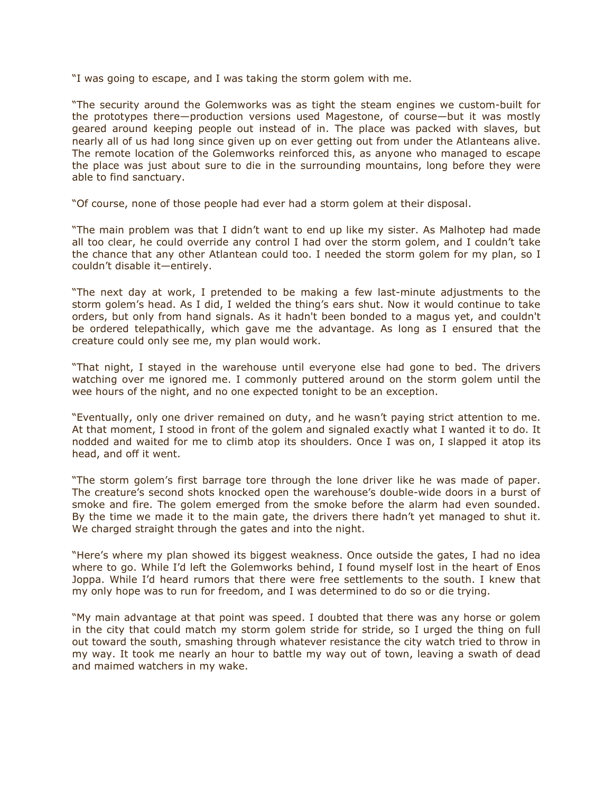"I was going to escape, and I was taking the storm golem with me.

"The security around the Golemworks was as tight the steam engines we custom-built for the prototypes there—production versions used Magestone, of course—but it was mostly geared around keeping people out instead of in. The place was packed with slaves, but nearly all of us had long since given up on ever getting out from under the Atlanteans alive. The remote location of the Golemworks reinforced this, as anyone who managed to escape the place was just about sure to die in the surrounding mountains, long before they were able to find sanctuary.

"Of course, none of those people had ever had a storm golem at their disposal.

"The main problem was that I didn't want to end up like my sister. As Malhotep had made all too clear, he could override any control I had over the storm golem, and I couldn't take the chance that any other Atlantean could too. I needed the storm golem for my plan, so I couldn't disable it—entirely.

"The next day at work, I pretended to be making a few last-minute adjustments to the storm golem's head. As I did, I welded the thing's ears shut. Now it would continue to take orders, but only from hand signals. As it hadn't been bonded to a magus yet, and couldn't be ordered telepathically, which gave me the advantage. As long as I ensured that the creature could only see me, my plan would work.

"That night, I stayed in the warehouse until everyone else had gone to bed. The drivers watching over me ignored me. I commonly puttered around on the storm golem until the wee hours of the night, and no one expected tonight to be an exception.

"Eventually, only one driver remained on duty, and he wasn't paying strict attention to me. At that moment, I stood in front of the golem and signaled exactly what I wanted it to do. It nodded and waited for me to climb atop its shoulders. Once I was on, I slapped it atop its head, and off it went.

"The storm golem's first barrage tore through the lone driver like he was made of paper. The creature's second shots knocked open the warehouse's double-wide doors in a burst of smoke and fire. The golem emerged from the smoke before the alarm had even sounded. By the time we made it to the main gate, the drivers there hadn't yet managed to shut it. We charged straight through the gates and into the night.

"Here's where my plan showed its biggest weakness. Once outside the gates, I had no idea where to go. While I'd left the Golemworks behind, I found myself lost in the heart of Enos Joppa. While I'd heard rumors that there were free settlements to the south. I knew that my only hope was to run for freedom, and I was determined to do so or die trying.

"My main advantage at that point was speed. I doubted that there was any horse or golem in the city that could match my storm golem stride for stride, so I urged the thing on full out toward the south, smashing through whatever resistance the city watch tried to throw in my way. It took me nearly an hour to battle my way out of town, leaving a swath of dead and maimed watchers in my wake.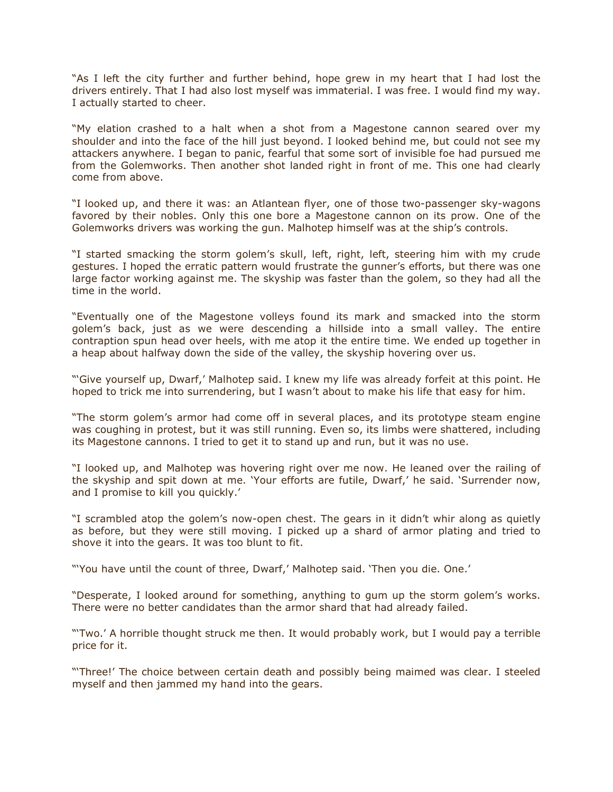"As I left the city further and further behind, hope grew in my heart that I had lost the drivers entirely. That I had also lost myself was immaterial. I was free. I would find my way. I actually started to cheer.

"My elation crashed to a halt when a shot from a Magestone cannon seared over my shoulder and into the face of the hill just beyond. I looked behind me, but could not see my attackers anywhere. I began to panic, fearful that some sort of invisible foe had pursued me from the Golemworks. Then another shot landed right in front of me. This one had clearly come from above.

"I looked up, and there it was: an Atlantean flyer, one of those two-passenger sky-wagons favored by their nobles. Only this one bore a Magestone cannon on its prow. One of the Golemworks drivers was working the gun. Malhotep himself was at the ship's controls.

"I started smacking the storm golem's skull, left, right, left, steering him with my crude gestures. I hoped the erratic pattern would frustrate the gunner's efforts, but there was one large factor working against me. The skyship was faster than the golem, so they had all the time in the world.

"Eventually one of the Magestone volleys found its mark and smacked into the storm golem's back, just as we were descending a hillside into a small valley. The entire contraption spun head over heels, with me atop it the entire time. We ended up together in a heap about halfway down the side of the valley, the skyship hovering over us.

"'Give yourself up, Dwarf,' Malhotep said. I knew my life was already forfeit at this point. He hoped to trick me into surrendering, but I wasn't about to make his life that easy for him.

"The storm golem's armor had come off in several places, and its prototype steam engine was coughing in protest, but it was still running. Even so, its limbs were shattered, including its Magestone cannons. I tried to get it to stand up and run, but it was no use.

"I looked up, and Malhotep was hovering right over me now. He leaned over the railing of the skyship and spit down at me. 'Your efforts are futile, Dwarf,' he said. 'Surrender now, and I promise to kill you quickly.'

"I scrambled atop the golem's now-open chest. The gears in it didn't whir along as quietly as before, but they were still moving. I picked up a shard of armor plating and tried to shove it into the gears. It was too blunt to fit.

"'You have until the count of three, Dwarf,' Malhotep said. 'Then you die. One.'

"Desperate, I looked around for something, anything to gum up the storm golem's works. There were no better candidates than the armor shard that had already failed.

"'Two.' A horrible thought struck me then. It would probably work, but I would pay a terrible price for it.

"'Three!' The choice between certain death and possibly being maimed was clear. I steeled myself and then jammed my hand into the gears.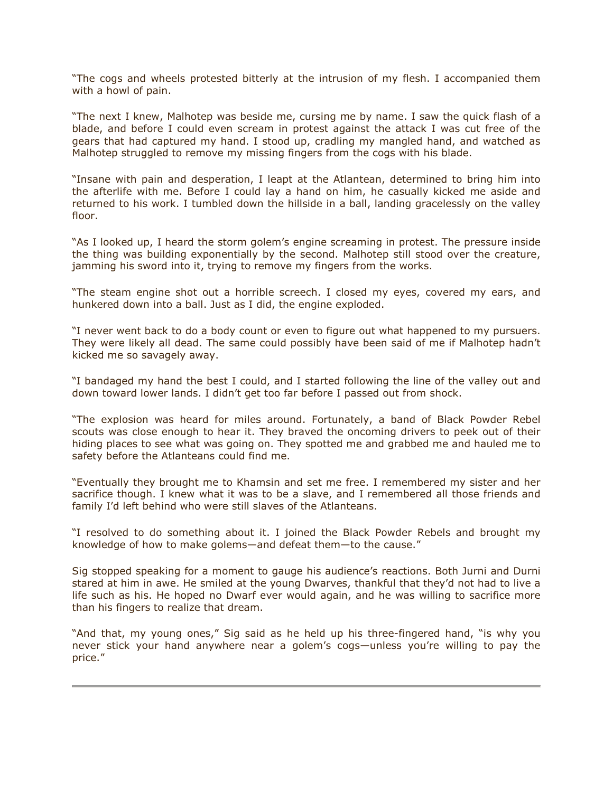"The cogs and wheels protested bitterly at the intrusion of my flesh. I accompanied them with a howl of pain.

"The next I knew, Malhotep was beside me, cursing me by name. I saw the quick flash of a blade, and before I could even scream in protest against the attack I was cut free of the gears that had captured my hand. I stood up, cradling my mangled hand, and watched as Malhotep struggled to remove my missing fingers from the cogs with his blade.

"Insane with pain and desperation, I leapt at the Atlantean, determined to bring him into the afterlife with me. Before I could lay a hand on him, he casually kicked me aside and returned to his work. I tumbled down the hillside in a ball, landing gracelessly on the valley floor.

"As I looked up, I heard the storm golem's engine screaming in protest. The pressure inside the thing was building exponentially by the second. Malhotep still stood over the creature, jamming his sword into it, trying to remove my fingers from the works.

"The steam engine shot out a horrible screech. I closed my eyes, covered my ears, and hunkered down into a ball. Just as I did, the engine exploded.

"I never went back to do a body count or even to figure out what happened to my pursuers. They were likely all dead. The same could possibly have been said of me if Malhotep hadn't kicked me so savagely away.

"I bandaged my hand the best I could, and I started following the line of the valley out and down toward lower lands. I didn't get too far before I passed out from shock.

"The explosion was heard for miles around. Fortunately, a band of Black Powder Rebel scouts was close enough to hear it. They braved the oncoming drivers to peek out of their hiding places to see what was going on. They spotted me and grabbed me and hauled me to safety before the Atlanteans could find me.

"Eventually they brought me to Khamsin and set me free. I remembered my sister and her sacrifice though. I knew what it was to be a slave, and I remembered all those friends and family I'd left behind who were still slaves of the Atlanteans.

"I resolved to do something about it. I joined the Black Powder Rebels and brought my knowledge of how to make golems—and defeat them—to the cause."

Sig stopped speaking for a moment to gauge his audience's reactions. Both Jurni and Durni stared at him in awe. He smiled at the young Dwarves, thankful that they'd not had to live a life such as his. He hoped no Dwarf ever would again, and he was willing to sacrifice more than his fingers to realize that dream.

"And that, my young ones," Sig said as he held up his three-fingered hand, "is why you never stick your hand anywhere near a golem's cogs—unless you're willing to pay the price."